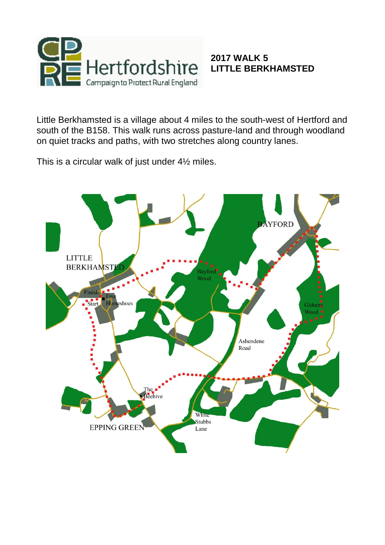

## **2017 WALK 5 LITTLE BERKHAMSTED**

Little Berkhamsted is a village about 4 miles to the south-west of Hertford and south of the B158. This walk runs across pasture-land and through woodland on quiet tracks and paths, with two stretches along country lanes.

This is a circular walk of just under 4½ miles.

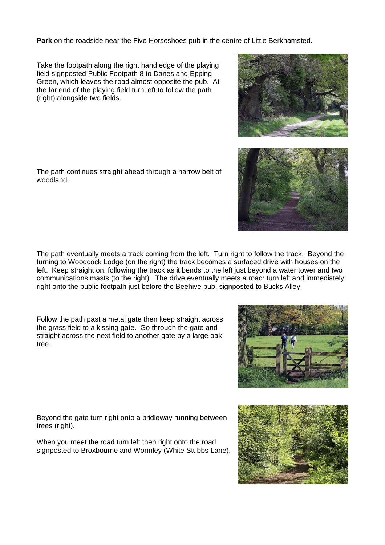**Park** on the roadside near the Five Horseshoes pub in the centre of Little Berkhamsted.

T

Take the footpath along the right hand edge of the playing field signposted Public Footpath 8 to Danes and Epping Green, which leaves the road almost opposite the pub. At the far end of the playing field turn left to follow the path (right) alongside two fields.

The path continues straight ahead through a narrow belt of woodland.

The path eventually meets a track coming from the left. Turn right to follow the track. Beyond the turning to Woodcock Lodge (on the right) the track becomes a surfaced drive with houses on the left. Keep straight on, following the track as it bends to the left just beyond a water tower and two communications masts (to the right). The drive eventually meets a road: turn left and immediately right onto the public footpath just before the Beehive pub, signposted to Bucks Alley.

Follow the path past a metal gate then keep straight across the grass field to a kissing gate. Go through the gate and straight across the next field to another gate by a large oak tree.

Beyond the gate turn right onto a bridleway running between trees (right).

When you meet the road turn left then right onto the road signposted to Broxbourne and Wormley (White Stubbs Lane).







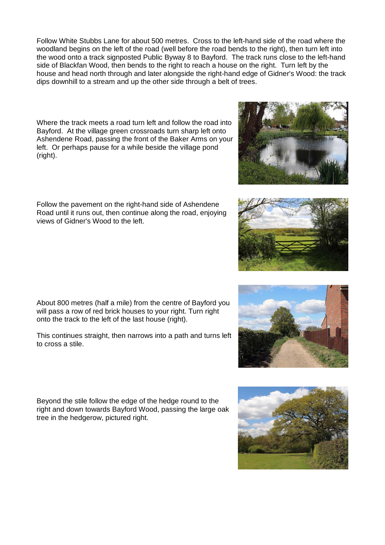Follow White Stubbs Lane for about 500 metres. Cross to the left-hand side of the road where the woodland begins on the left of the road (well before the road bends to the right), then turn left into the wood onto a track signposted Public Byway 8 to Bayford. The track runs close to the left-hand side of Blackfan Wood, then bends to the right to reach a house on the right. Turn left by the house and head north through and later alongside the right-hand edge of Gidner's Wood: the track dips downhill to a stream and up the other side through a belt of trees.

Where the track meets a road turn left and follow the road into Bayford. At the village green crossroads turn sharp left onto Ashendene Road, passing the front of the Baker Arms on your left. Or perhaps pause for a while beside the village pond (right).

Follow the pavement on the right-hand side of Ashendene Road until it runs out, then continue along the road, enjoying views of Gidner's Wood to the left.

About 800 metres (half a mile) from the centre of Bayford you will pass a row of red brick houses to your right. Turn right onto the track to the left of the last house (right).

This continues straight, then narrows into a path and turns left to cross a stile.

Beyond the stile follow the edge of the hedge round to the right and down towards Bayford Wood, passing the large oak tree in the hedgerow, pictured right.